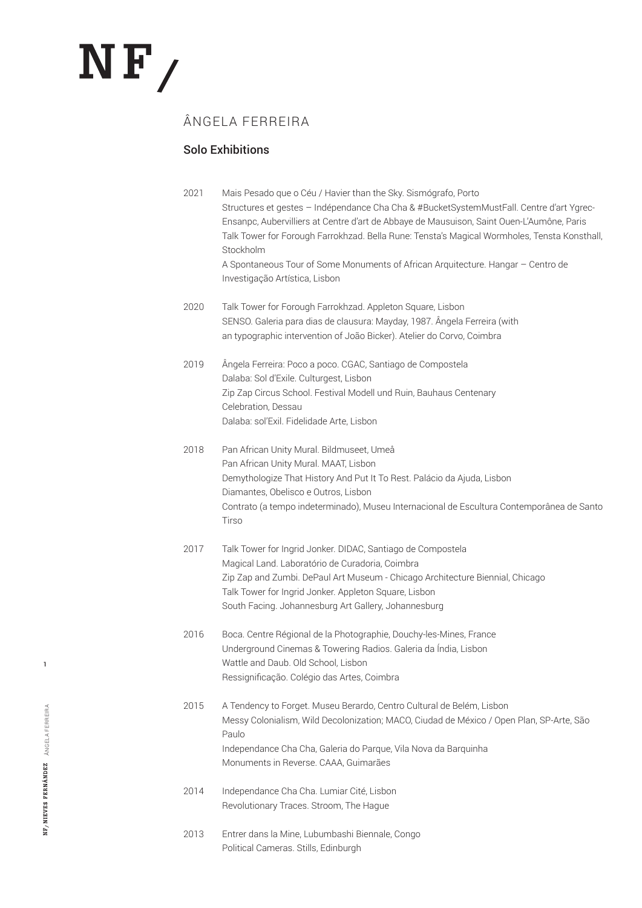# $N$ F

# ÂNGELA FERREIRA

## Solo Exhibitions

| 2021 | Mais Pesado que o Céu / Havier than the Sky. Sismógrafo, Porto<br>Structures et gestes - Indépendance Cha Cha & #BucketSystemMustFall. Centre d'art Ygrec-<br>Ensanpc, Aubervilliers at Centre d'art de Abbaye de Mausuison, Saint Ouen-L'Aumône, Paris<br>Talk Tower for Forough Farrokhzad. Bella Rune: Tensta's Magical Wormholes, Tensta Konsthall,<br>Stockholm<br>A Spontaneous Tour of Some Monuments of African Arquitecture. Hangar - Centro de<br>Investigação Artística, Lisbon |
|------|--------------------------------------------------------------------------------------------------------------------------------------------------------------------------------------------------------------------------------------------------------------------------------------------------------------------------------------------------------------------------------------------------------------------------------------------------------------------------------------------|
| 2020 | Talk Tower for Forough Farrokhzad. Appleton Square, Lisbon<br>SENSO. Galeria para dias de clausura: Mayday, 1987. Ângela Ferreira (with<br>an typographic intervention of João Bicker). Atelier do Corvo, Coimbra                                                                                                                                                                                                                                                                          |
| 2019 | Ângela Ferreira: Poco a poco. CGAC, Santiago de Compostela<br>Dalaba: Sol d'Exile. Culturgest, Lisbon<br>Zip Zap Circus School. Festival Modell und Ruin, Bauhaus Centenary<br>Celebration, Dessau<br>Dalaba: sol'Exil. Fidelidade Arte, Lisbon                                                                                                                                                                                                                                            |
| 2018 | Pan African Unity Mural. Bildmuseet, Umeå<br>Pan African Unity Mural. MAAT, Lisbon<br>Demythologize That History And Put It To Rest. Palácio da Ajuda, Lisbon<br>Diamantes, Obelisco e Outros, Lisbon<br>Contrato (a tempo indeterminado), Museu Internacional de Escultura Contemporânea de Santo<br>Tirso                                                                                                                                                                                |
| 2017 | Talk Tower for Ingrid Jonker. DIDAC, Santiago de Compostela<br>Magical Land. Laboratório de Curadoria, Coimbra<br>Zip Zap and Zumbi. DePaul Art Museum - Chicago Architecture Biennial, Chicago<br>Talk Tower for Ingrid Jonker. Appleton Square, Lisbon<br>South Facing. Johannesburg Art Gallery, Johannesburg                                                                                                                                                                           |
| 2016 | Boca. Centre Régional de la Photographie, Douchy-les-Mines, France<br>Underground Cinemas & Towering Radios. Galeria da Índia, Lisbon<br>Wattle and Daub. Old School, Lisbon<br>Ressignificação. Colégio das Artes, Coimbra                                                                                                                                                                                                                                                                |
| 2015 | A Tendency to Forget. Museu Berardo, Centro Cultural de Belém, Lisbon<br>Messy Colonialism, Wild Decolonization; MACO, Ciudad de México / Open Plan, SP-Arte, São<br>Paulo<br>Independance Cha Cha, Galeria do Parque, Vila Nova da Barquinha<br>Monuments in Reverse. CAAA, Guimarães                                                                                                                                                                                                     |
| 2014 | Independance Cha Cha. Lumiar Cité, Lisbon<br>Revolutionary Traces. Stroom, The Hague                                                                                                                                                                                                                                                                                                                                                                                                       |
| 2013 | Entrer dans la Mine, Lubumbashi Biennale, Congo<br>Political Cameras. Stills, Edinburgh                                                                                                                                                                                                                                                                                                                                                                                                    |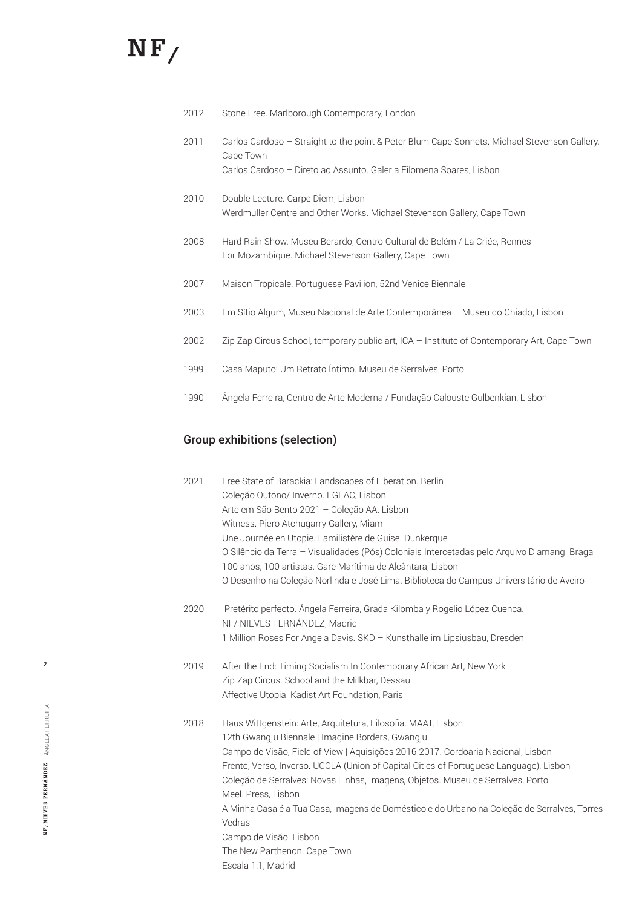# $N$ F /

- 2012 Stone Free. Marlborough Contemporary, London
- 2011 Carlos Cardoso Straight to the point & Peter Blum Cape Sonnets. Michael Stevenson Gallery, Cape Town Carlos Cardoso – Direto ao Assunto. Galeria Filomena Soares, Lisbon
- 2010 Double Lecture. Carpe Diem, Lisbon Werdmuller Centre and Other Works. Michael Stevenson Gallery, Cape Town
- 2008 Hard Rain Show. Museu Berardo, Centro Cultural de Belém / La Criée, Rennes For Mozambique. Michael Stevenson Gallery, Cape Town
- 2007 Maison Tropicale. Portuguese Pavilion, 52nd Venice Biennale
- 2003 Em Sítio Algum, Museu Nacional de Arte Contemporânea Museu do Chiado, Lisbon
- 2002 Zip Zap Circus School, temporary public art, ICA Institute of Contemporary Art, Cape Town
- 1999 Casa Maputo: Um Retrato Íntimo. Museu de Serralves, Porto
- 1990 Ângela Ferreira, Centro de Arte Moderna / Fundação Calouste Gulbenkian, Lisbon

### Group exhibitions (selection)

| 2021 | Free State of Barackia: Landscapes of Liberation. Berlin                                                                                                  |
|------|-----------------------------------------------------------------------------------------------------------------------------------------------------------|
|      | Coleção Outono/ Inverno. EGEAC, Lisbon                                                                                                                    |
|      | Arte em São Bento 2021 - Coleção AA. Lisbon                                                                                                               |
|      | Witness. Piero Atchugarry Gallery, Miami                                                                                                                  |
|      | Une Journée en Utopie. Familistère de Guise. Dunkerque                                                                                                    |
|      | O Silêncio da Terra - Visualidades (Pós) Coloniais Intercetadas pelo Arquivo Diamang. Braga<br>100 anos, 100 artistas. Gare Marítima de Alcântara, Lisbon |
|      | O Desenho na Coleção Norlinda e José Lima. Biblioteca do Campus Universitário de Aveiro                                                                   |
| 2020 | Pretérito perfecto. Ângela Ferreira, Grada Kilomba y Rogelio López Cuenca.<br>NF/ NIEVES FERNÁNDEZ, Madrid                                                |
|      | 1 Million Roses For Angela Davis. SKD - Kunsthalle im Lipsiusbau, Dresden                                                                                 |
| 2019 | After the End: Timing Socialism In Contemporary African Art, New York                                                                                     |
|      | Zip Zap Circus. School and the Milkbar, Dessau                                                                                                            |
|      | Affective Utopia. Kadist Art Foundation, Paris                                                                                                            |
| 2018 | Haus Wittgenstein: Arte, Arquitetura, Filosofia. MAAT, Lisbon                                                                                             |
|      | 12th Gwangju Biennale   Imagine Borders, Gwangju                                                                                                          |
|      | Campo de Visão, Field of View   Aquisições 2016-2017. Cordoaria Nacional, Lisbon                                                                          |
|      | Frente, Verso, Inverso. UCCLA (Union of Capital Cities of Portuguese Language), Lisbon                                                                    |
|      | Coleção de Serralves: Novas Linhas, Imagens, Objetos. Museu de Serralves, Porto<br>Meel. Press, Lisbon                                                    |
|      | A Minha Casa é a Tua Casa, Imagens de Doméstico e do Urbano na Coleção de Serralves, Torres<br>Vedras                                                     |
|      | Campo de Visão. Lisbon                                                                                                                                    |
|      | The New Parthenon. Cape Town                                                                                                                              |
|      | Escala 1:1, Madrid                                                                                                                                        |
|      |                                                                                                                                                           |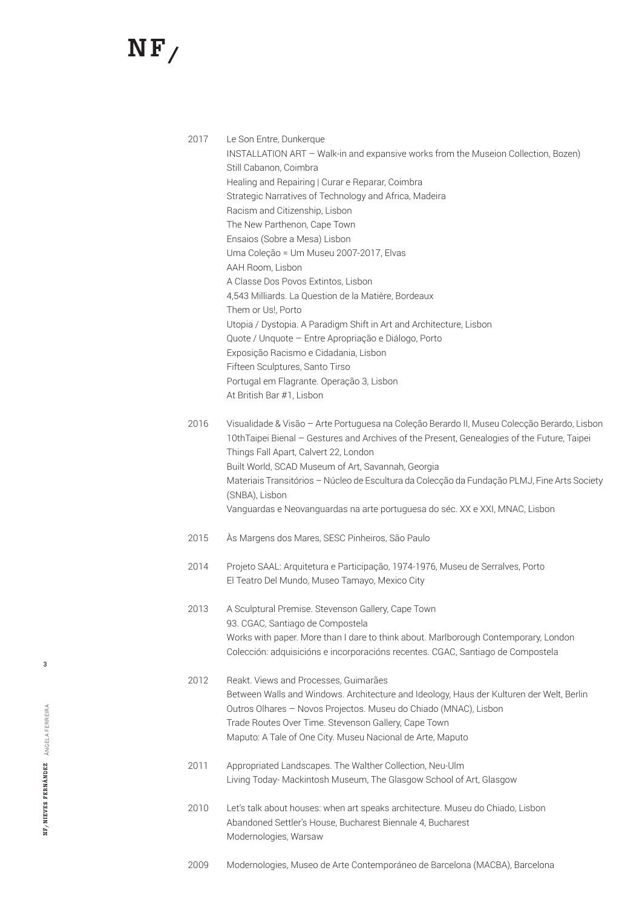# $N F/$

| 2017 | Le Son Entre, Dunkerque<br>INSTALLATION ART - Walk-in and expansive works from the Museion Collection, Bozen)<br>Still Cabanon, Coimbra<br>Healing and Repairing   Curar e Reparar, Coimbra<br>Strategic Narratives of Technology and Africa, Madeira<br>Racism and Citizenship, Lisbon<br>The New Parthenon, Cape Town<br>Ensaios (Sobre a Mesa) Lisbon<br>Uma Coleção = Um Museu 2007-2017, Elvas<br>AAH Room, Lisbon<br>A Classe Dos Povos Extintos, Lisbon<br>4,543 Milliards. La Question de la Matière, Bordeaux<br>Them or Us!, Porto<br>Utopia / Dystopia. A Paradigm Shift in Art and Architecture, Lisbon<br>Quote / Unquote - Entre Apropriação e Diálogo, Porto<br>Exposição Racismo e Cidadania, Lisbon<br>Fifteen Sculptures, Santo Tirso<br>Portugal em Flagrante. Operação 3, Lisbon<br>At British Bar #1, Lisbon |
|------|-----------------------------------------------------------------------------------------------------------------------------------------------------------------------------------------------------------------------------------------------------------------------------------------------------------------------------------------------------------------------------------------------------------------------------------------------------------------------------------------------------------------------------------------------------------------------------------------------------------------------------------------------------------------------------------------------------------------------------------------------------------------------------------------------------------------------------------|
| 2016 | Visualidade & Visão - Arte Portuguesa na Coleção Berardo II, Museu Colecção Berardo, Lisbon<br>10thTaipei Bienal - Gestures and Archives of the Present, Genealogies of the Future, Taipei<br>Things Fall Apart, Calvert 22, London<br>Built World, SCAD Museum of Art, Savannah, Georgia<br>Materiais Transitórios - Núcleo de Escultura da Colecção da Fundação PLMJ, Fine Arts Society<br>(SNBA), Lisbon<br>Vanguardas e Neovanguardas na arte portuguesa do séc. XX e XXI, MNAC, Lisbon                                                                                                                                                                                                                                                                                                                                       |
| 2015 | Às Margens dos Mares, SESC Pinheiros, São Paulo                                                                                                                                                                                                                                                                                                                                                                                                                                                                                                                                                                                                                                                                                                                                                                                   |
| 2014 | Projeto SAAL: Arquitetura e Participação, 1974-1976, Museu de Serralves, Porto<br>El Teatro Del Mundo, Museo Tamayo, Mexico City                                                                                                                                                                                                                                                                                                                                                                                                                                                                                                                                                                                                                                                                                                  |
| 2013 | A Sculptural Premise. Stevenson Gallery, Cape Town<br>93. CGAC, Santiago de Compostela<br>Works with paper. More than I dare to think about. Marlborough Contemporary, London<br>Colección: adquisicións e incorporacións recentes. CGAC, Santiago de Compostela                                                                                                                                                                                                                                                                                                                                                                                                                                                                                                                                                                  |
| 2012 | Reakt. Views and Processes, Guimarães<br>Between Walls and Windows. Architecture and Ideology, Haus der Kulturen der Welt, Berlin<br>Outros Olhares - Novos Projectos. Museu do Chiado (MNAC), Lisbon<br>Trade Routes Over Time. Stevenson Gallery, Cape Town<br>Maputo: A Tale of One City. Museu Nacional de Arte, Maputo                                                                                                                                                                                                                                                                                                                                                                                                                                                                                                       |
| 2011 | Appropriated Landscapes. The Walther Collection, Neu-Ulm<br>Living Today- Mackintosh Museum, The Glasgow School of Art, Glasgow                                                                                                                                                                                                                                                                                                                                                                                                                                                                                                                                                                                                                                                                                                   |
| 2010 | Let's talk about houses: when art speaks architecture. Museu do Chiado, Lisbon<br>Abandoned Settler's House, Bucharest Biennale 4, Bucharest<br>Modernologies, Warsaw                                                                                                                                                                                                                                                                                                                                                                                                                                                                                                                                                                                                                                                             |

2009 Modernologies, Museo de Arte Contemporáneo de Barcelona (MACBA), Barcelona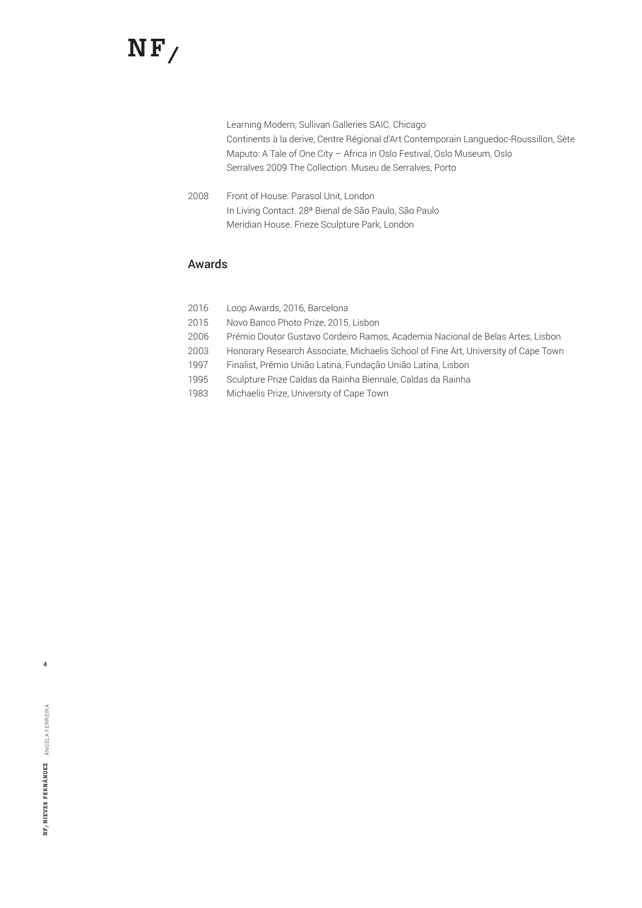# $NF/$

Learning Modern, Sullivan Galleries SAIC, Chicago Continents à la derive, Centre Régional d'Art Contemporain Languedoc-Roussillon, Sète Maputo: A Tale of One City – Africa in Oslo Festival, Oslo Museum, Oslo Serralves 2009 The Collection. Museu de Serralves, Porto

2008 Front of House. Parasol Unit, London In Living Contact. 28ª Bienal de São Paulo, São Paulo Meridian House. Frieze Sculpture Park, London

### Awards

| 2016 | Loop Awards, 2016, Barcelona                                                       |
|------|------------------------------------------------------------------------------------|
| 2015 | Novo Banco Photo Prize, 2015, Lisbon                                               |
| 2006 | Prémio Doutor Gustavo Cordeiro Ramos, Academia Nacional de Belas Artes, Lisbon     |
| 2003 | Honorary Research Associate, Michaelis School of Fine Art, University of Cape Town |
| 1997 | Finalist, Prémio União Latina, Fundação União Latina, Lisbon                       |
| 1995 | Sculpture Prize Caldas da Rainha Biennale, Caldas da Rainha                        |
| 1983 | Michaelis Prize, University of Cape Town                                           |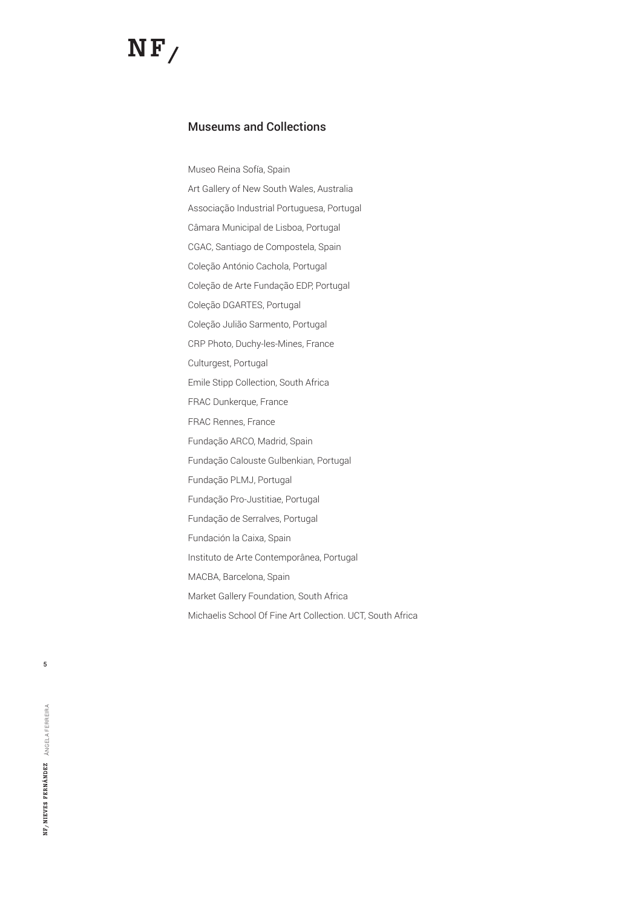### Museums and Collections

Museo Reina Sofía, Spain Art Gallery of New South Wales, Australia Associação Industrial Portuguesa, Portugal Câmara Municipal de Lisboa, Portugal CGAC, Santiago de Compostela, Spain Coleção António Cachola, Portugal Coleção de Arte Fundação EDP, Portugal Coleção DGARTES, Portugal Coleção Julião Sarmento, Portugal CRP Photo, Duchy-les-Mines, France Culturgest, Portugal Emile Stipp Collection, South Africa FRAC Dunkerque, France FRAC Rennes, France Fundação ARCO, Madrid, Spain Fundação Calouste Gulbenkian, Portugal Fundação PLMJ, Portugal Fundação Pro-Justitiae, Portugal Fundação de Serralves, Portugal Fundación la Caixa, Spain Instituto de Arte Contemporânea, Portugal MACBA, Barcelona, Spain Market Gallery Foundation, South Africa Michaelis School Of Fine Art Collection. UCT, South Africa